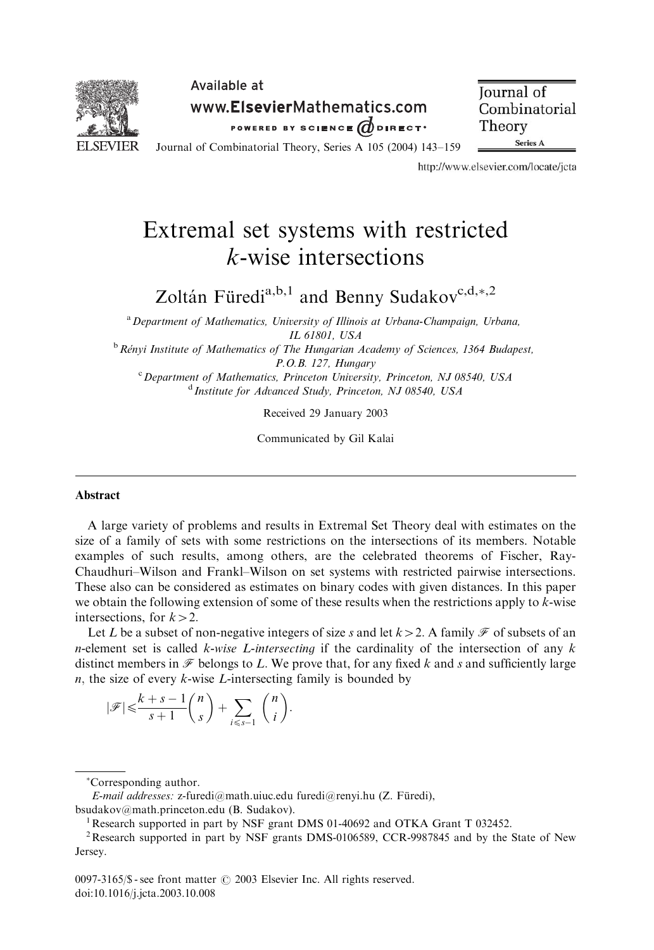

Available at www.ElsevierMathematics.com POWERED BY SCIENCE ODIRECT.

**Journal** of Combinatorial Theory Series A

Journal of Combinatorial Theory, Series A 105 (2004) 143–159

http://www.elsevier.com/locate/jcta

# Extremal set systems with restricted k-wise intersections

Zoltán Füredi<sup>a,b,1</sup> and Benny Sudakov<sup>c,d, $*$ ,2</sup>

<sup>a</sup> Department of Mathematics, University of Illinois at Urbana-Champaign, Urbana, IL 61801, USA

 $b$  Rényi Institute of Mathematics of The Hungarian Academy of Sciences, 1364 Budapest, P.O.B. 127, Hungary

<sup>c</sup> Department of Mathematics, Princeton University, Princeton, NJ 08540, USA <sup>d</sup> Institute for Advanced Study, Princeton, NJ 08540, USA

Received 29 January 2003

Communicated by Gil Kalai

### Abstract

A large variety of problems and results in Extremal Set Theory deal with estimates on the size of a family of sets with some restrictions on the intersections of its members. Notable examples of such results, among others, are the celebrated theorems of Fischer, Ray-Chaudhuri–Wilson and Frankl–Wilson on set systems with restricted pairwise intersections. These also can be considered as estimates on binary codes with given distances. In this paper we obtain the following extension of some of these results when the restrictions apply to  $k$ -wise intersections, for  $k>2$ .

Let L be a subset of non-negative integers of size s and let  $k > 2$ . A family  $\mathcal F$  of subsets of an *n*-element set is called *k-wise L-intersecting* if the cardinality of the intersection of any  $k$ distinct members in  $\mathcal F$  belongs to L. We prove that, for any fixed k and s and sufficiently large  $n$ , the size of every  $k$ -wise *L*-intersecting family is bounded by

$$
|\mathscr{F}|{\,\leqslant\,} \frac{k+s-1}{s+1}\binom{n}{s}+\sum_{i\leqslant s-1}\binom{n}{i}.
$$

Corresponding author.

E-mail addresses: z-furedi@math.uiuc.edu furedi@renyi.hu (Z. Füredi), bsudakov@math.princeton.edu (B. Sudakov). <sup>1</sup>

<sup>&</sup>lt;sup>1</sup> Research supported in part by NSF grant DMS 01-40692 and OTKA Grant T 032452.

<sup>&</sup>lt;sup>2</sup> Research supported in part by NSF grants DMS-0106589, CCR-9987845 and by the State of New Jersey.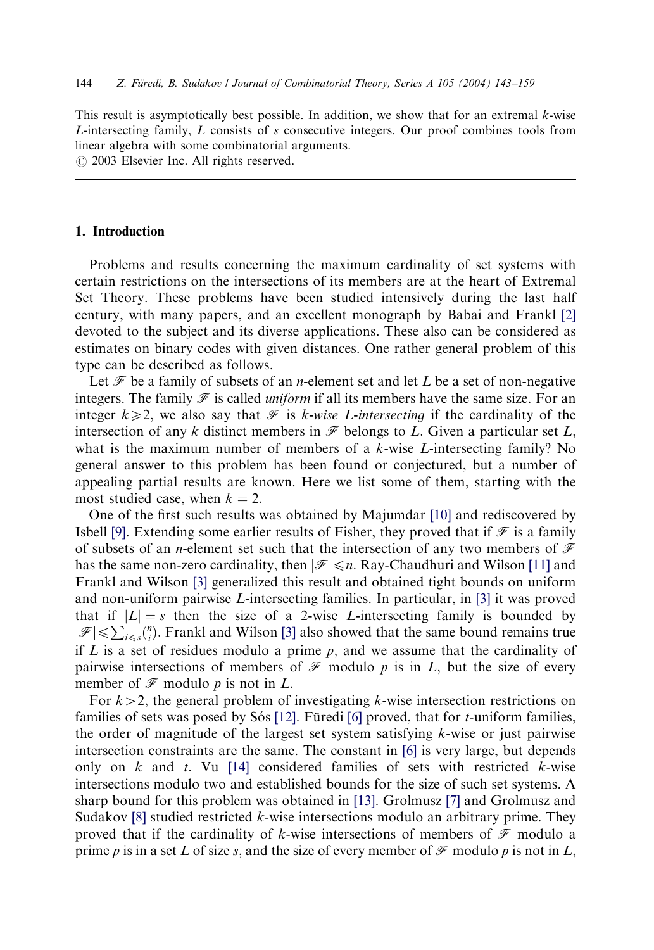This result is asymptotically best possible. In addition, we show that for an extremal  $k$ -wise L-intersecting family, L consists of s consecutive integers. Our proof combines tools from linear algebra with some combinatorial arguments.

 $\odot$  2003 Elsevier Inc. All rights reserved.

#### 1. Introduction

Problems and results concerning the maximum cardinality of set systems with certain restrictions on the intersections of its members are at the heart of Extremal Set Theory. These problems have been studied intensively during the last half century, with many papers, and an excellent monograph by Babai and Frankl [\[2\]](#page-16-0) devoted to the subject and its diverse applications. These also can be considered as estimates on binary codes with given distances. One rather general problem of this type can be described as follows.

Let  $\mathcal F$  be a family of subsets of an *n*-element set and let L be a set of non-negative integers. The family  $\mathcal F$  is called *uniform* if all its members have the same size. For an integer  $k\geq 2$ , we also say that  $\mathcal F$  is k-wise L-intersecting if the cardinality of the intersection of any k distinct members in  $\mathscr F$  belongs to L. Given a particular set L. what is the maximum number of members of a  $k$ -wise L-intersecting family? No general answer to this problem has been found or conjectured, but a number of appealing partial results are known. Here we list some of them, starting with the most studied case, when  $k = 2$ .

One of the first such results was obtained by Majumdar [\[10\]](#page-16-0) and rediscovered by Isbell [\[9\]](#page-16-0). Extending some earlier results of Fisher, they proved that if  $\mathcal F$  is a family of subsets of an *n*-element set such that the intersection of any two members of  $\mathcal F$ has the same non-zero cardinality, then  $|\mathscr{F}| \le n$ . Ray-Chaudhuri and Wilson [\[11\]](#page-16-0) and Frankl and Wilson [\[3\]](#page-16-0) generalized this result and obtained tight bounds on uniform and non-uniform pairwise L-intersecting families. In particular, in [\[3\]](#page-16-0) it was proved that if  $|L| = s$  then the size of a 2-wise L-intersecting family is bounded by  $|\mathcal{F}| \le \sum_{i \le s} {n \choose i}$ . Frankl and Wilson [\[3\]](#page-16-0) also showed that the same bound remains true if  $L$  is a set of residues modulo a prime  $p$ , and we assume that the cardinality of pairwise intersections of members of  $\mathcal F$  modulo p is in L, but the size of every member of  $\mathcal F$  modulo p is not in L.

For  $k>2$ , the general problem of investigating k-wise intersection restrictions on families of sets was posed by Sós [\[12\]](#page-16-0). Füredi [\[6\]](#page-16-0) proved, that for  $t$ -uniform families, the order of magnitude of the largest set system satisfying  $k$ -wise or just pairwise intersection constraints are the same. The constant in [\[6\]](#page-16-0) is very large, but depends only on k and t. Vu [\[14\]](#page-16-0) considered families of sets with restricted k-wise intersections modulo two and established bounds for the size of such set systems. A sharp bound for this problem was obtained in [\[13\].](#page-16-0) Grolmusz [\[7\]](#page-16-0) and Grolmusz and Sudakov  $[8]$  studied restricted  $k$ -wise intersections modulo an arbitrary prime. They proved that if the cardinality of k-wise intersections of members of  $\mathcal F$  modulo a prime p is in a set L of size s, and the size of every member of  $\mathcal F$  modulo p is not in L,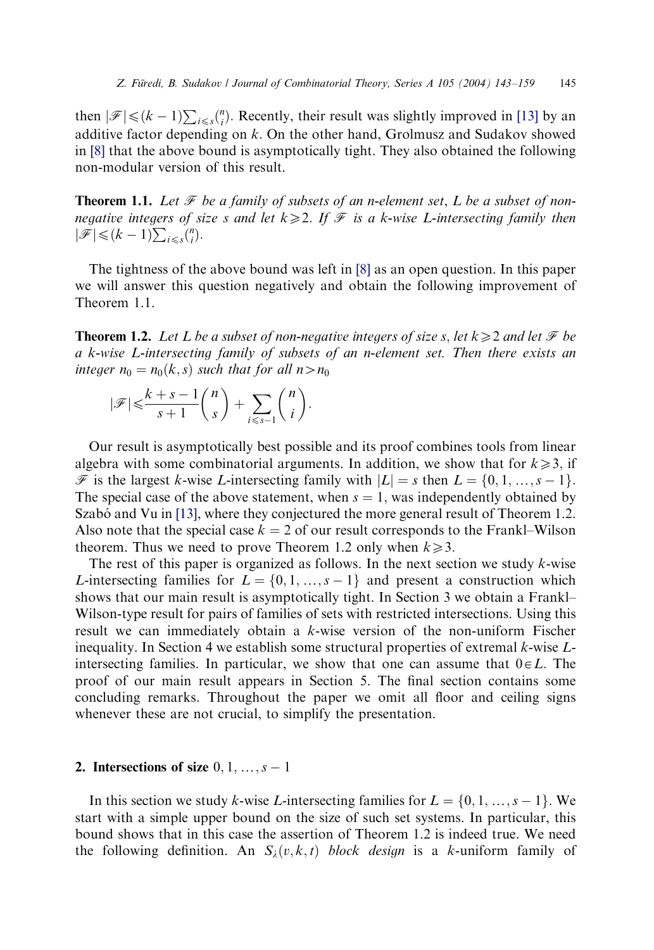then  $|\mathscr{F}| \leq (k-1) \sum_{i \leq s} {n \choose i}$ . Recently, their result was slightly improved in [\[13\]](#page-16-0) by an additive factor depending on  $k$ . On the other hand, Grolmusz and Sudakov showed in [\[8\]](#page-16-0) that the above bound is asymptotically tight. They also obtained the following non-modular version of this result.

**Theorem 1.1.** Let  $\mathcal{F}$  be a family of subsets of an n-element set, L be a subset of nonnegative integers of size s and let  $k\geqslant 2$ . If  $\mathcal F$  is a k-wise L-intersecting family then  $|\mathscr{F}| \leqslant (k-1) \sum_{i \leqslant s} {n \choose i}.$ 

The tightness of the above bound was left in [\[8\]](#page-16-0) as an open question. In this paper we will answer this question negatively and obtain the following improvement of Theorem 1.1.

**Theorem 1.2.** Let L be a subset of non-negative integers of size s, let  $k \geq 2$  and let  $\mathcal{F}$  be a k-wise L-intersecting family of subsets of an n-element set. Then there exists an integer  $n_0 = n_0(k, s)$  such that for all  $n > n_0$ 

$$
|\mathscr{F}|{\leqslant} \frac{k+s-1}{s+1}\binom{n}{s}+\sum_{i{\leqslant} s-1}\binom{n}{i}.
$$

Our result is asymptotically best possible and its proof combines tools from linear algebra with some combinatorial arguments. In addition, we show that for  $k \geq 3$ , if  $\mathscr{F}$  is the largest k-wise L-intersecting family with  $|L| = s$  then  $L = \{0, 1, ..., s - 1\}$ . The special case of the above statement, when  $s = 1$ , was independently obtained by Szabó and Vu in [\[13\]](#page-16-0), where they conjectured the more general result of Theorem 1.2. Also note that the special case  $k = 2$  of our result corresponds to the Frankl–Wilson theorem. Thus we need to prove Theorem 1.2 only when  $k \ge 3$ .

The rest of this paper is organized as follows. In the next section we study  $k$ -wise L-intersecting families for  $L = \{0, 1, ..., s - 1\}$  and present a construction which shows that our main result is asymptotically tight. In Section 3 we obtain a Frankl– Wilson-type result for pairs of families of sets with restricted intersections. Using this result we can immediately obtain a k-wise version of the non-uniform Fischer inequality. In Section 4 we establish some structural properties of extremal k-wise Lintersecting families. In particular, we show that one can assume that  $0 \in L$ . The proof of our main result appears in Section 5. The final section contains some concluding remarks. Throughout the paper we omit all floor and ceiling signs whenever these are not crucial, to simplify the presentation.

#### 2. Intersections of size  $0, 1, \ldots, s - 1$

In this section we study k-wise L-intersecting families for  $L = \{0, 1, ..., s - 1\}$ . We start with a simple upper bound on the size of such set systems. In particular, this bound shows that in this case the assertion of Theorem 1.2 is indeed true. We need the following definition. An  $S_{\lambda}(v, k, t)$  block design is a k-uniform family of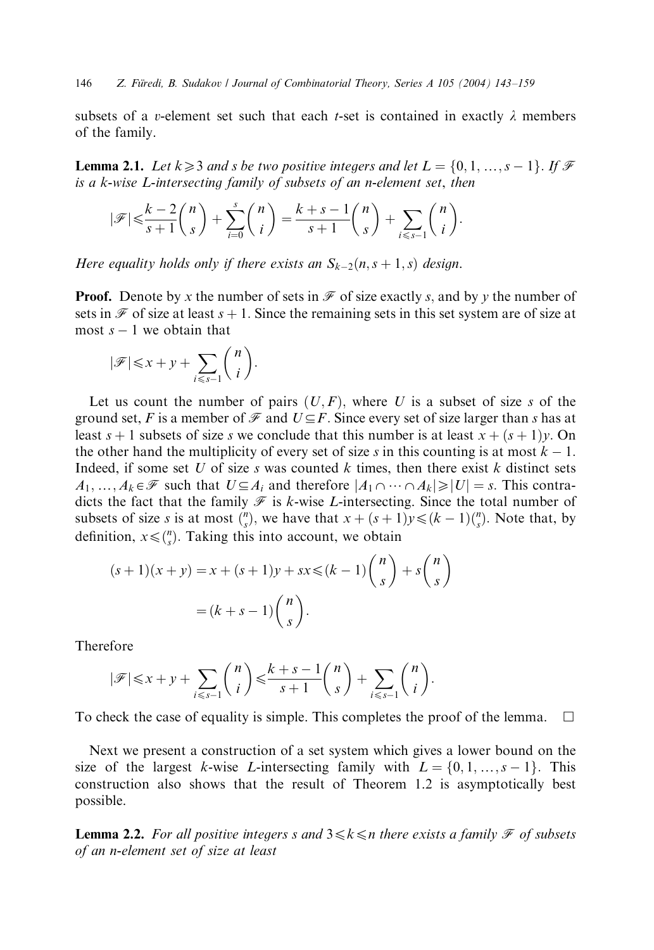subsets of a *v*-element set such that each *t*-set is contained in exactly  $\lambda$  members of the family.

**Lemma 2.1.** Let  $k \geq 3$  and s be two positive integers and let  $L = \{0, 1, ..., s - 1\}$ . If F is a k-wise L-intersecting family of subsets of an n-element set, then

$$
|\mathscr{F}| \leqslant \frac{k-2}{s+1} {n \choose s} + \sum_{i=0}^s {n \choose i} = \frac{k+s-1}{s+1} {n \choose s} + \sum_{i \leqslant s-1} {n \choose i}.
$$

Here equality holds only if there exists an  $S_{k-2}(n, s+1, s)$  design.

**Proof.** Denote by x the number of sets in  $\mathcal F$  of size exactly s, and by y the number of sets in  $\mathcal F$  of size at least  $s + 1$ . Since the remaining sets in this set system are of size at most  $s - 1$  we obtain that

$$
|\mathscr{F}| \leq x + y + \sum_{i \leq s-1} {n \choose i}.
$$

Let us count the number of pairs  $(U, F)$ , where U is a subset of size s of the ground set, F is a member of  $\mathcal F$  and  $U \subseteq F$ . Since every set of size larger than s has at least  $s + 1$  subsets of size s we conclude that this number is at least  $x + (s + 1)y$ . On the other hand the multiplicity of every set of size s in this counting is at most  $k - 1$ . Indeed, if some set U of size s was counted k times, then there exist k distinct sets  $A_1, ..., A_k \in \mathcal{F}$  such that  $U \subseteq A_i$  and therefore  $|A_1 \cap ... \cap A_k| \geq |U| = s$ . This contradicts the fact that the family  $\mathcal F$  is k-wise L-intersecting. Since the total number of subsets of size s is at most  $\binom{n}{s}$ , we have that  $x + (s+1)y \leq (k-1)\binom{n}{s}$ . Note that, by definition,  $x \leq \binom{n}{s}$ . Taking this into account, we obtain

$$
(s+1)(x+y) = x + (s+1)y + sx \leq (k-1)\binom{n}{s} + s\binom{n}{s}
$$

$$
= (k+s-1)\binom{n}{s}.
$$

Therefore

$$
|\mathscr{F}|{\leqslant} x+y+\sum_{i{\leqslant} s-1} \binom{n}{i}{\leqslant} \frac{k+s-1}{s+1} \binom{n}{s}+\sum_{i{\leqslant} s-1} \binom{n}{i}.
$$

To check the case of equality is simple. This completes the proof of the lemma.  $\Box$ 

Next we present a construction of a set system which gives a lower bound on the size of the largest k-wise L-intersecting family with  $L = \{0, 1, ..., s - 1\}$ . This construction also shows that the result of Theorem 1.2 is asymptotically best possible.

**Lemma 2.2.** For all positive integers s and  $3 \le k \le n$  there exists a family  $\mathcal F$  of subsets of an n-element set of size at least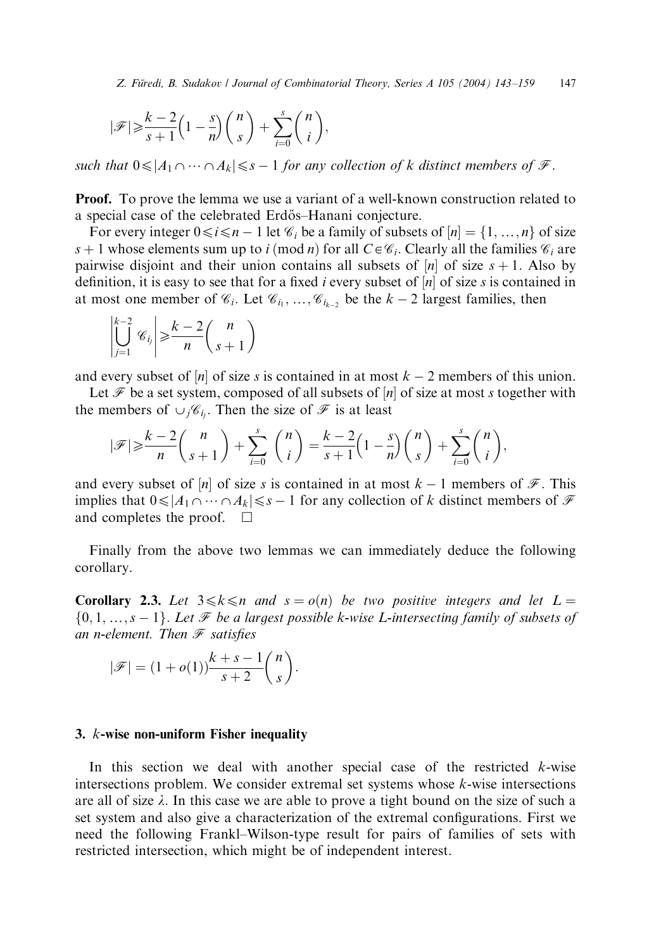$$
|\mathscr{F}| \geqslant \frac{k-2}{s+1} \left(1 - \frac{s}{n}\right) \binom{n}{s} + \sum_{i=0}^{s} \binom{n}{i},
$$

such that  $0 \leq |A_1 \cap \cdots \cap A_k| \leq s - 1$  for any collection of k distinct members of  $\mathcal{F}$ .

**Proof.** To prove the lemma we use a variant of a well-known construction related to a special case of the celebrated Erdős–Hanani conjecture.

For every integer  $0 \le i \le n - 1$  let  $\mathcal{C}_i$  be a family of subsets of  $[n] = \{1, ..., n\}$  of size s + 1 whose elements sum up to i (mod n) for all  $C \in \mathcal{C}_i$ . Clearly all the families  $\mathcal{C}_i$  are pairwise disjoint and their union contains all subsets of  $[n]$  of size  $s + 1$ . Also by definition, it is easy to see that for a fixed i every subset of  $[n]$  of size s is contained in at most one member of  $\mathcal{C}_i$ . Let  $\mathcal{C}_{i_1}, \ldots, \mathcal{C}_{i_{k-2}}$  be the  $k-2$  largest families, then

$$
\left|\bigcup_{j=1}^{k-2} \mathcal{C}_j\right| \geq \frac{k-2}{n} {n \choose s+1}
$$

and every subset of |n| of size s is contained in at most  $k - 2$  members of this union.

Let  $\mathcal F$  be a set system, composed of all subsets of  $[n]$  of size at most s together with the members of  $\cup_j \mathscr{C}_{i_j}$ . Then the size of  $\mathscr{F}$  is at least

$$
|\mathscr{F}| \geqslant \frac{k-2}{n} {n \choose s+1} + \sum_{i=0}^{s} {n \choose i} = \frac{k-2}{s+1} \left(1 - \frac{s}{n}\right) {n \choose s} + \sum_{i=0}^{s} {n \choose i},
$$

and every subset of |n| of size s is contained in at most  $k - 1$  members of  $\mathcal{F}$ . This implies that  $0 \le |A_1 \cap \cdots \cap A_k| \le s - 1$  for any collection of k distinct members of  $\mathcal F$ and completes the proof.  $\Box$ 

Finally from the above two lemmas we can immediately deduce the following corollary.

**Corollary 2.3.** Let  $3 \le k \le n$  and  $s = o(n)$  be two positive integers and let  $L =$  $\{0, 1, ..., s - 1\}$ . Let F be a largest possible k-wise L-intersecting family of subsets of an n-element. Then  $\mathscr F$  satisfies

$$
|\mathscr{F}| = (1 + o(1))\frac{k+s-1}{s+2} {n \choose s}.
$$

#### 3. k-wise non-uniform Fisher inequality

In this section we deal with another special case of the restricted  $k$ -wise intersections problem. We consider extremal set systems whose  $k$ -wise intersections are all of size  $\lambda$ . In this case we are able to prove a tight bound on the size of such a set system and also give a characterization of the extremal configurations. First we need the following Frankl–Wilson-type result for pairs of families of sets with restricted intersection, which might be of independent interest.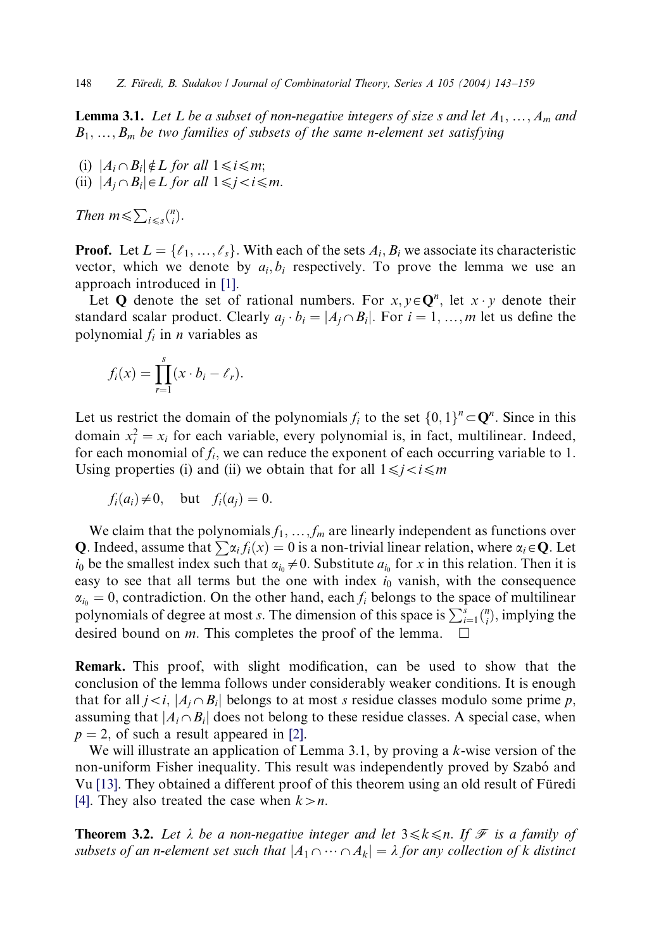**Lemma 3.1.** Let L be a subset of non-negative integers of size s and let  $A_1, \ldots, A_m$  and  $B_1, \ldots, B_m$  be two families of subsets of the same n-element set satisfying

(i)  $|A_i \cap B_i| \notin L$  for all  $1 \le i \le m$ ; (ii)  $|A_i \cap B_i| \in L$  for all  $1 \leq j < i \leq m$ .

Then  $m \leqslant \sum_{i \leqslant s} {n \choose i}$ .

**Proof.** Let  $L = \{l_1, ..., l_s\}$ . With each of the sets  $A_i, B_i$  we associate its characteristic vector, which we denote by  $a_i, b_i$  respectively. To prove the lemma we use an approach introduced in [\[1\].](#page-16-0)

Let Q denote the set of rational numbers. For  $x, y \in \mathbb{Q}^n$ , let  $x \cdot y$  denote their standard scalar product. Clearly  $a_i \cdot b_i = |A_i \cap B_i|$ . For  $i = 1, ..., m$  let us define the polynomial  $f_i$  in *n* variables as

$$
f_i(x) = \prod_{r=1}^s (x \cdot b_i - \ell_r).
$$

Let us restrict the domain of the polynomials  $f_i$  to the set  $\{0, 1\}^n \subset \mathbb{Q}^n$ . Since in this domain  $x_i^2 = x_i$  for each variable, every polynomial is, in fact, multilinear. Indeed, for each monomial of  $f_i$ , we can reduce the exponent of each occurring variable to 1. Using properties (i) and (ii) we obtain that for all  $1 \le j \le i \le m$ 

$$
f_i(a_i) \neq 0
$$
, but  $f_i(a_j) = 0$ .

We claim that the polynomials  $f_1, \ldots, f_m$  are linearly independent as functions over **Q**. Indeed, assume that  $\sum \alpha_i f_i(x) = 0$  is a non-trivial linear relation, where  $\alpha_i \in \mathbf{Q}$ . Let  $i_0$  be the smallest index such that  $\alpha_{i_0} \neq 0$ . Substitute  $a_{i_0}$  for x in this relation. Then it is easy to see that all terms but the one with index  $i_0$  vanish, with the consequence  $\alpha_{i_0} = 0$ , contradiction. On the other hand, each  $f_i$  belongs to the space of multilinear polynomials of degree at most s. The dimension of this space is  $\sum_{i=1}^{s} {n \choose i}$ , implying the desired bound on *m*. This completes the proof of the lemma.  $\Box$ 

Remark. This proof, with slight modification, can be used to show that the conclusion of the lemma follows under considerably weaker conditions. It is enough that for all  $j \lt i$ ,  $|A_i \cap B_i|$  belongs to at most s residue classes modulo some prime p, assuming that  $|A_i \cap B_i|$  does not belong to these residue classes. A special case, when  $p = 2$ , of such a result appeared in [\[2\]](#page-16-0).

We will illustrate an application of Lemma 3.1, by proving a  $k$ -wise version of the non-uniform Fisher inequality. This result was independently proved by Szabó and Vu [\[13\]](#page-16-0). They obtained a different proof of this theorem using an old result of Füredi [\[4\]](#page-16-0). They also treated the case when  $k > n$ .

**Theorem 3.2.** Let  $\lambda$  be a non-negative integer and let  $3 \leq k \leq n$ . If F is a family of subsets of an n-element set such that  $|A_1 \cap \cdots \cap A_k| = \lambda$  for any collection of k distinct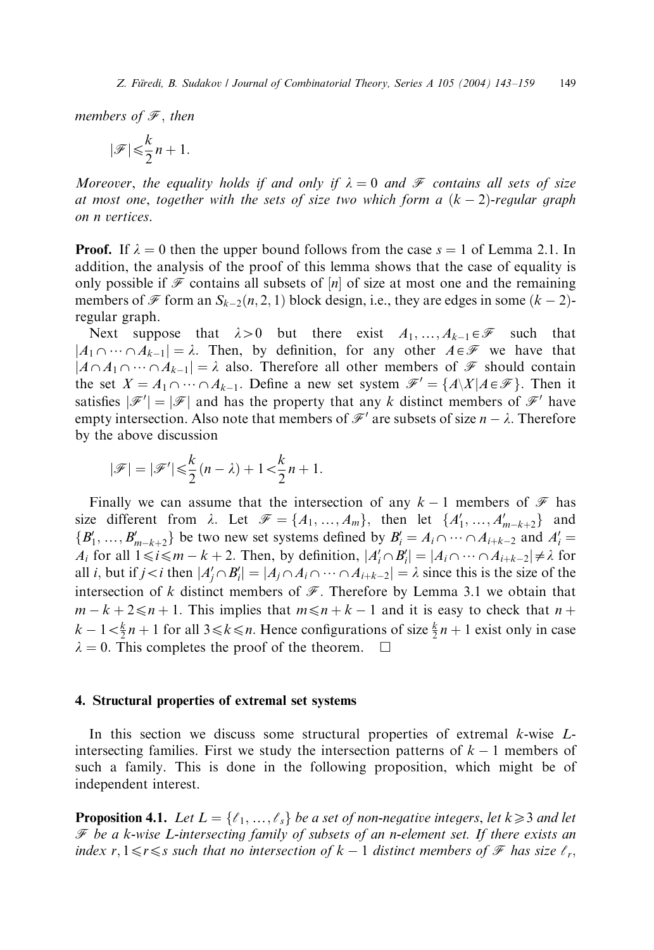members of  $\mathscr F$ , then

$$
|\mathcal{F}| \leqslant \frac{k}{2}n + 1.
$$

Moreover, the equality holds if and only if  $\lambda = 0$  and  $\mathscr F$  contains all sets of size at most one, together with the sets of size two which form a  $(k - 2)$ -regular graph on n vertices.

**Proof.** If  $\lambda = 0$  then the upper bound follows from the case  $s = 1$  of Lemma 2.1. In addition, the analysis of the proof of this lemma shows that the case of equality is only possible if  $\mathcal F$  contains all subsets of  $[n]$  of size at most one and the remaining members of  $\mathcal F$  form an  $S_{k-2}(n, 2, 1)$  block design, i.e., they are edges in some  $(k-2)$ regular graph.

Next suppose that  $\lambda > 0$  but there exist  $A_1, ..., A_{k-1} \in \mathcal{F}$  such that  $|A_1 \cap \cdots \cap A_{k-1}| = \lambda$ . Then, by definition, for any other  $A \in \mathcal{F}$  we have that  $|A\cap A_1\cap\cdots\cap A_{k-1}|=\lambda$  also. Therefore all other members of  $\mathscr F$  should contain the set  $X = A_1 \cap \cdots \cap A_{k-1}$ . Define a new set system  $\mathcal{F}' = \{A \setminus X | A \in \mathcal{F}\}\.$  Then it satisfies  $|\mathscr{F}'| = |\mathscr{F}|$  and has the property that any k distinct members of  $\mathscr{F}'$  have empty intersection. Also note that members of  $\mathcal{F}'$  are subsets of size  $n - \lambda$ . Therefore by the above discussion

$$
|\mathscr{F}| = |\mathscr{F}'| \leqslant \frac{k}{2}(n-\lambda) + 1 < \frac{k}{2}n + 1.
$$

Finally we can assume that the intersection of any  $k-1$  members of  $\mathcal F$  has size different from  $\lambda$ . Let  $\mathcal{F} = \{A_1, ..., A_m\}$ , then let  $\{A'_1, ..., A'_{m-k+2}\}$  and  $\{B'_1, ..., B'_{m-k+2}\}\$  be two new set systems defined by  $B'_i = A_i \cap \cdots \cap A_{i+k-2}$  and  $A'_i =$  $A_i$  for all  $1 \le i \le m - k + 2$ . Then, by definition,  $|A'_i \cap B'_i| = |A_i \cap \cdots \cap A_{i+k-2}| \ne \lambda$  for all *i*, but if  $j < i$  then  $|A'_j \cap B'_i| = |A_j \cap A_i \cap \dots \cap A_{i+k-2}| = \lambda$  since this is the size of the intersection of k distinct members of  $\mathscr F$ . Therefore by Lemma 3.1 we obtain that  $m - k + 2 \le n + 1$ . This implies that  $m \le n + k - 1$  and it is easy to check that  $n +$  $k - 1 < \frac{k}{2}n + 1$  for all  $3 \le k \le n$ . Hence configurations of size  $\frac{k}{2}n + 1$  exist only in case  $\lambda = 0$ . This completes the proof of the theorem.  $\Box$ 

## 4. Structural properties of extremal set systems

In this section we discuss some structural properties of extremal  $k$ -wise  $L$ intersecting families. First we study the intersection patterns of  $k - 1$  members of such a family. This is done in the following proposition, which might be of independent interest.

**Proposition 4.1.** Let  $L = \{ \ell_1, ..., \ell_s \}$  be a set of non-negative integers, let  $k \geq 3$  and let  $\mathscr F$  be a k-wise L-intersecting family of subsets of an n-element set. If there exists an index r,  $1 \le r \le s$  such that no intersection of  $k - 1$  distinct members of  $\mathcal F$  has size  $\ell_r$ ,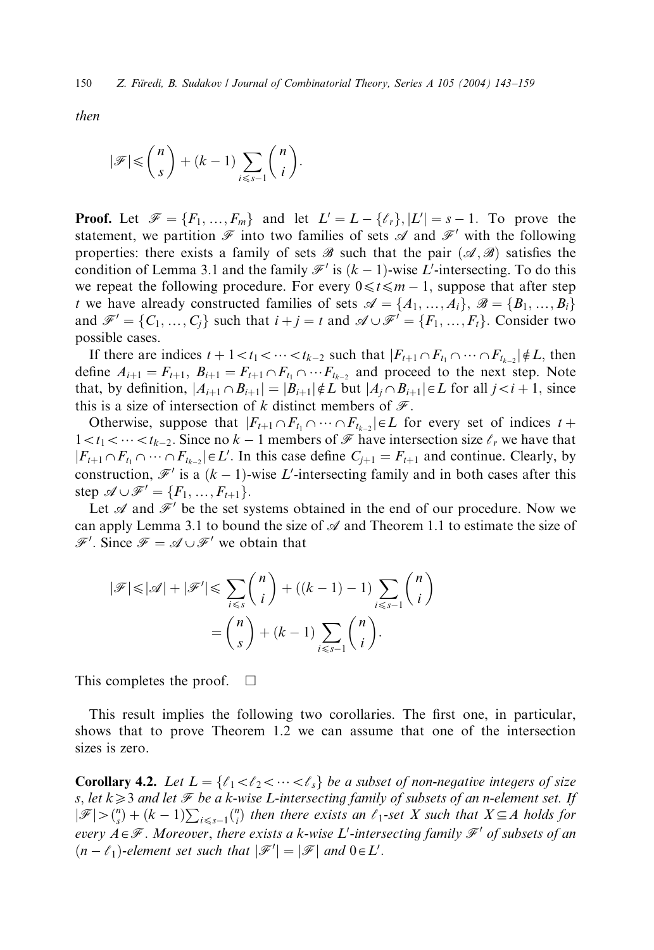then

$$
|\mathscr{F}| \leqslant {n \choose s} + (k-1) \sum_{i \leqslant s-1} {n \choose i}.
$$

**Proof.** Let  $\mathcal{F} = \{F_1, ..., F_m\}$  and let  $L' = L - \{\ell_r\}, |L'| = s - 1$ . To prove the statement, we partition  $\mathcal F$  into two families of sets  $\mathcal A$  and  $\mathcal F'$  with the following properties: there exists a family of sets  $\mathscr{B}$  such that the pair  $(\mathscr{A}, \mathscr{B})$  satisfies the condition of Lemma 3.1 and the family  $\mathcal{F}'$  is  $(k-1)$ -wise L'-intersecting. To do this we repeat the following procedure. For every  $0 \le t \le m - 1$ , suppose that after step t we have already constructed families of sets  $\mathcal{A} = \{A_1, ..., A_i\}, \mathcal{B} = \{B_1, ..., B_i\}$ and  $\mathcal{F}' = \{C_1, ..., C_i\}$  such that  $i + j = t$  and  $\mathcal{A} \cup \mathcal{F}' = \{F_1, ..., F_t\}$ . Consider two possible cases.

If there are indices  $t + 1 < t_1 < \cdots < t_{k-2}$  such that  $|F_{t+1} \cap F_{t_1} \cap \cdots \cap F_{t_{k-2}}| \notin L$ , then define  $A_{i+1} = F_{t+1}, B_{i+1} = F_{t+1} \cap F_{t_1} \cap \cdots F_{t_{k-2}}$  and proceed to the next step. Note that, by definition,  $|A_{i+1} \cap B_{i+1}| = |B_{i+1}| \notin L$  but  $|A_i \cap B_{i+1}| \in L$  for all  $j < i+1$ , since this is a size of intersection of k distinct members of  $\mathcal F$ .

Otherwise, suppose that  $|F_{t+1}\cap F_{t_1}\cap \cdots \cap F_{t_{k-2}}| \in L$  for every set of indices  $t +$  $1 < t_1 < \cdots < t_{k-2}$ . Since no  $k - 1$  members of  $\mathcal F$  have intersection size  $\ell_r$  we have that  $|F_{t+1} \cap F_{t_1} \cap \cdots \cap F_{t_{k-2}}| \in L'$ . In this case define  $C_{j+1} = F_{t+1}$  and continue. Clearly, by construction,  $\mathcal{F}'$  is a  $(k-1)$ -wise L'-intersecting family and in both cases after this step  $\mathscr{A} \cup \mathscr{F}' = \{F_1, ..., F_{t+1}\}.$ 

Let  $\mathscr A$  and  $\mathscr F'$  be the set systems obtained in the end of our procedure. Now we can apply Lemma 3.1 to bound the size of  $\mathscr A$  and Theorem 1.1 to estimate the size of  $\mathscr{F}'$ . Since  $\mathscr{F} = \mathscr{A} \cup \mathscr{F}'$  we obtain that

$$
|\mathscr{F}| \leq |\mathscr{A}| + |\mathscr{F}'| \leq \sum_{i \leq s} {n \choose i} + ((k-1) - 1) \sum_{i \leq s-1} {n \choose i} \\ = {n \choose s} + (k-1) \sum_{i \leq s-1} {n \choose i}.
$$

This completes the proof.  $\Box$ 

This result implies the following two corollaries. The first one, in particular, shows that to prove Theorem 1.2 we can assume that one of the intersection sizes is zero.

**Corollary 4.2.** Let  $L = \{ \ell_1 < \ell_2 < \cdots < \ell_s \}$  be a subset of non-negative integers of size s, let  $k\geqslant3$  and let  $\mathcal F$  be a k-wise L-intersecting family of subsets of an n-element set. If  $|\mathcal{F}| > \binom{n}{s} + (k-1) \sum_{i \leq s-1} \binom{n}{i}$  then there exists an  $\ell_1$ -set X such that  $X \subseteq A$  holds for every  $A \in \mathscr{F}$  . Moreover, there exists a k-wise  $L'$ -intersecting family  $\mathscr{F}'$  of subsets of an  $(n - \ell_1)$ -element set such that  $|\mathscr{F}'| = |\mathscr{F}|$  and  $0 \in L'.$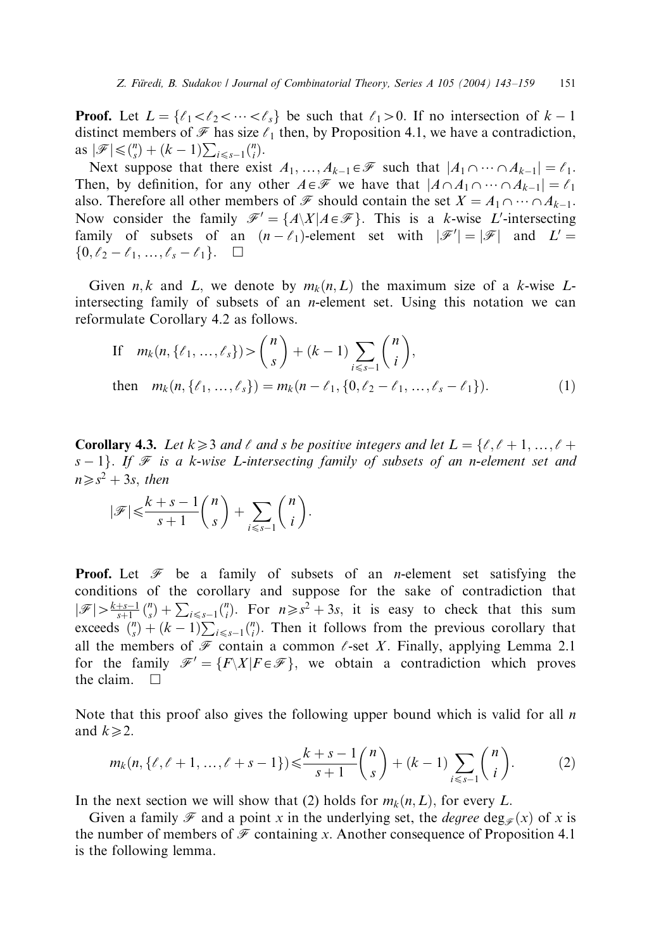**Proof.** Let  $L = \{ \ell_1 < \ell_2 < \cdots < \ell_s \}$  be such that  $\ell_1 > 0$ . If no intersection of  $k - 1$ distinct members of  $\mathcal F$  has size  $\ell_1$  then, by Proposition 4.1, we have a contradiction, as  $|\mathscr{F}| \leq {n \choose s} + (k-1) \sum_{i \leq s-1} {n \choose i}.$ 

Next suppose that there exist  $A_1, ..., A_{k-1} \in \mathcal{F}$  such that  $|A_1 \cap ... \cap A_{k-1}| = \ell_1$ . Then, by definition, for any other  $A \in \mathcal{F}$  we have that  $|A \cap A_1 \cap \cdots \cap A_{k-1}| = \ell_1$ also. Therefore all other members of  $\mathscr F$  should contain the set  $X = A_1 \cap \cdots \cap A_{k-1}$ . Now consider the family  $\mathscr{F}' = \{A \setminus X | A \in \mathscr{F}\}\$ . This is a k-wise L'-intersecting family of subsets of an  $(n - \ell_1)$ -element set with  $|\mathscr{F}'| = |\mathscr{F}|$  and  $L' =$  $\{0,\ell_2-\ell_1,\ldots,\ell_s-\ell_1\}$ .  $\square$ 

Given n, k and L, we denote by  $m_k(n,L)$  the maximum size of a k-wise Lintersecting family of subsets of an n-element set. Using this notation we can reformulate Corollary 4.2 as follows.

If 
$$
m_k(n, \{\ell_1, ..., \ell_s\}) > {n \choose s} + (k-1) \sum_{i \le s-1} {n \choose i},
$$
  
then  $m_k(n, \{\ell_1, ..., \ell_s\}) = m_k(n - \ell_1, \{0, \ell_2 - \ell_1, ..., \ell_s - \ell_1\}).$  (1)

**Corollary 4.3.** Let  $k \geq 3$  and  $\ell$  and s be positive integers and let  $L = \{\ell, \ell + 1, ..., \ell + 1\}$  $s - 1$ . If  $\mathcal F$  is a k-wise L-intersecting family of subsets of an n-element set and  $n \geq s^2 + 3s$ , then

$$
|\mathscr{F}| \leqslant \frac{k+s-1}{s+1} {n \choose s} + \sum_{i \leqslant s-1} {n \choose i}.
$$

**Proof.** Let  $\mathcal F$  be a family of subsets of an *n*-element set satisfying the conditions of the corollary and suppose for the sake of contradiction that  $|\mathscr{F}| > \frac{k+s-1}{s+1} {n \choose s} + \sum_{i \leq s-1} {n \choose i}$ . For  $n \geq s^2 + 3s$ , it is easy to check that this sum exceeds  $\binom{n}{s} + (k-1) \sum_{i \leq s-1} \binom{n}{i}$ . Then it follows from the previous corollary that all the members of  $\mathcal F$  contain a common  $\ell$ -set X. Finally, applying Lemma 2.1 for the family  $\mathcal{F}' = \{F\backslash X | F \in \mathcal{F}\}\$ , we obtain a contradiction which proves the claim.  $\square$ 

Note that this proof also gives the following upper bound which is valid for all  $n$ and  $k \geq 2$ .

$$
m_k(n, \{\ell, \ell+1, ..., \ell+s-1\}) \leqslant \frac{k+s-1}{s+1} {n \choose s} + (k-1) \sum_{i \leqslant s-1} {n \choose i}. \tag{2}
$$

In the next section we will show that (2) holds for  $m_k(n, L)$ , for every L.

Given a family  $\mathcal F$  and a point x in the underlying set, the *degree* deg<sub> $\mathcal F$ </sub> $(x)$  of x is the number of members of  $\mathcal F$  containing x. Another consequence of Proposition 4.1 is the following lemma.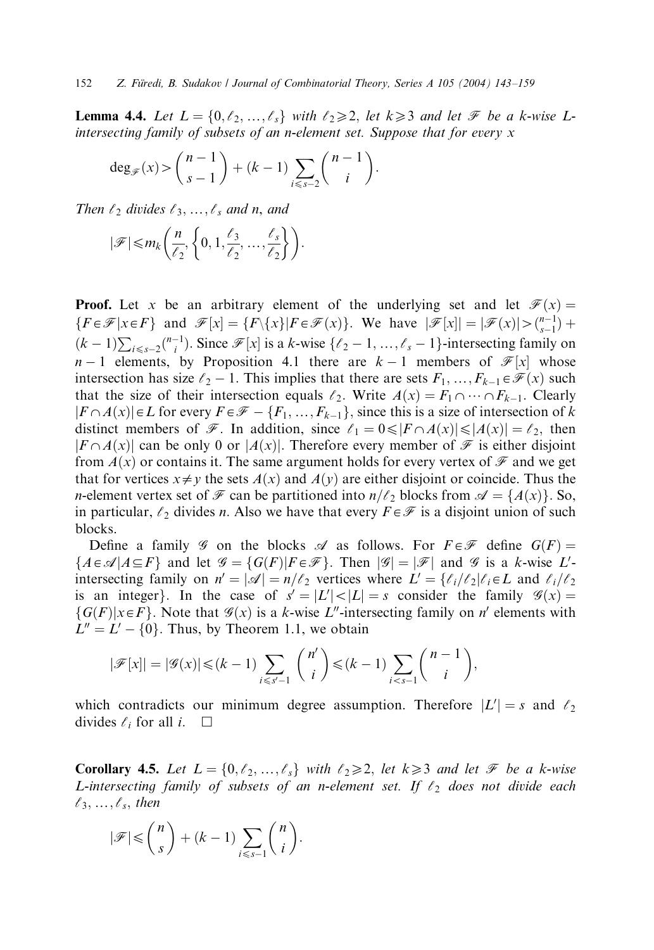**Lemma 4.4.** Let  $L = \{0, \ell_2, ..., \ell_s\}$  with  $\ell_2 \geq 2$ , let  $k \geq 3$  and let  $\mathcal{F}$  be a k-wise Lintersecting family of subsets of an n-element set. Suppose that for every x

$$
\deg_{\mathscr{F}}(x) > {n-1 \choose s-1} + (k-1) \sum_{i \leq s-2} {n-1 \choose i}.
$$

Then  $\ell_2$  divides  $\ell_3,\ldots,\ell_s$  and n, and

$$
|\mathscr{F}| \leq m_k \left( \frac{n}{\ell_2}, \left\{ 0, 1, \frac{\ell_3}{\ell_2}, \dots, \frac{\ell_s}{\ell_2} \right\} \right).
$$

**Proof.** Let x be an arbitrary element of the underlying set and let  $\mathcal{F}(x) =$  $\{F \in \mathcal{F} | x \in F\}$  and  $\mathcal{F}[x] = \{F \setminus \{x\} | F \in \mathcal{F}(x)\}$ . We have  $|\mathcal{F}[x]| = |\mathcal{F}(x)| > \binom{n-1}{s-1} + \binom{n-1}{s-1}$  $(k-1)\sum_{i\leq s-2} {n-1 \choose i}$ . Since  $\mathcal{F}[x]$  is a k-wise  $\{\ell_2-1,\ldots,\ell_s-1\}$ -intersecting family on  $n-1$  elements, by Proposition 4.1 there are  $k-1$  members of  $\mathcal{F}[x]$  whose intersection has size  $\ell_2$  – 1. This implies that there are sets  $F_1, ..., F_{k-1} \in \mathcal{F}(x)$  such that the size of their intersection equals  $\ell_2$ . Write  $A(x) = F_1 \cap \cdots \cap F_{k-1}$ . Clearly  $|F \cap A(x)| \in L$  for every  $F \in \mathcal{F} - \{F_1, ..., F_{k-1}\}$ , since this is a size of intersection of k distinct members of  $\mathcal F$ . In addition, since  $\ell_1 = 0 \leq |F \cap A(x)| \leq |A(x)| = \ell_2$ , then  $|F \cap A(x)|$  can be only 0 or  $|A(x)|$ . Therefore every member of  $\mathscr F$  is either disjoint from  $A(x)$  or contains it. The same argument holds for every vertex of  $\mathcal F$  and we get that for vertices  $x \neq y$  the sets  $A(x)$  and  $A(y)$  are either disjoint or coincide. Thus the *n*-element vertex set of F can be partitioned into  $n/\ell_2$  blocks from  $\mathcal{A} = \{A(x)\}\.$  So, in particular,  $\ell_2$  divides n. Also we have that every  $F \in \mathcal{F}$  is a disjoint union of such blocks.

Define a family  $\mathscr G$  on the blocks  $\mathscr A$  as follows. For  $F \in \mathscr F$  define  $G(F)$  =  $\{A \in \mathcal{A} | A \subseteq F\}$  and let  $\mathcal{G} = \{G(F) | F \in \mathcal{F}\}\$ . Then  $|\mathcal{G}| = |\mathcal{F}|$  and  $\mathcal{G}$  is a k-wise L'intersecting family on  $n' = |\mathcal{A}| = n/\ell_2$  vertices where  $L' = \{\ell_i/\ell_2 | \ell_i \in L \text{ and } \ell_i/\ell_2\}$ is an integer}. In the case of  $s' = |L'| < |L| = s$  consider the family  $\mathcal{G}(x) =$  $\{G(F)|x \in F\}$ . Note that  $\mathcal{G}(x)$  is a k-wise L''-intersecting family on n' elements with  $L'' = L' - \{0\}$ . Thus, by Theorem 1.1, we obtain

$$
|\mathscr{F}[x]| = |\mathscr{G}(x)| \leq (k-1) \sum_{i \leq s'-1} \binom{n'}{i} \leq (k-1) \sum_{i < s-1} \binom{n-1}{i},
$$

which contradicts our minimum degree assumption. Therefore  $|L'| = s$  and  $\ell_2$ divides  $\ell_i$  for all i.  $\Box$ 

**Corollary 4.5.** Let  $L = \{0, \ell_2, ..., \ell_s\}$  with  $\ell_2 \geq 2$ , let  $k \geq 3$  and let  $\mathcal{F}$  be a k-wise L-intersecting family of subsets of an n-element set. If  $\ell_2$  does not divide each  $\ell_3,\ldots,\ell_s$ , then

$$
|\mathscr{F}| \leq {n \choose s} + (k-1) \sum_{i \leq s-1} {n \choose i}.
$$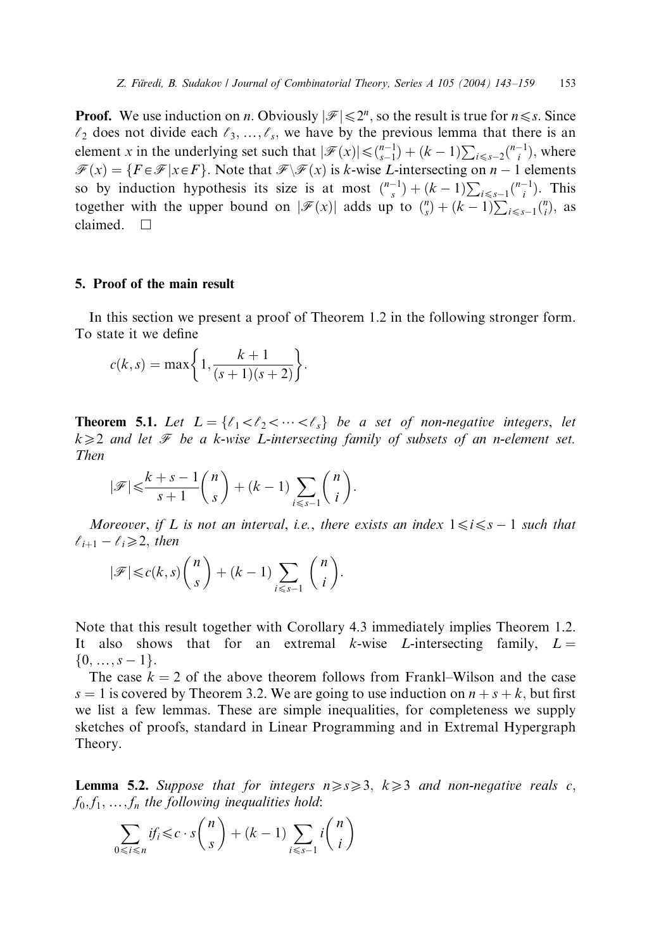**Proof.** We use induction on *n*. Obviously  $|\mathcal{F}| \le 2^n$ , so the result is true for  $n \le s$ . Since  $\ell_2$  does not divide each  $\ell_3, \ldots, \ell_s$ , we have by the previous lemma that there is an element x in the underlying set such that  $|\mathscr{F}(x)| \leq {n-1 \choose s-1} + (k-1) \sum_{i \leq s-2} {n-1 \choose i}$ , where  $\mathcal{F}(x) = \{F \in \mathcal{F} | x \in F\}$ . Note that  $\mathcal{F}(\mathcal{F}(x))$  is k-wise L-intersecting on  $n - 1$  elements so by induction hypothesis its size is at most  $\binom{n-1}{s} + (k-1) \sum_{i \leq s-1} \binom{n-1}{i}$ . This together with the upper bound on  $|\mathcal{F}(x)|$  adds up to  $\binom{n}{s} + (k-1) \sum_{i \leq s-1} \binom{n}{i}$ , as claimed.  $\square$ 

### 5. Proof of the main result

In this section we present a proof of Theorem 1.2 in the following stronger form. To state it we define

$$
c(k, s) = \max\bigg\{1, \frac{k+1}{(s+1)(s+2)}\bigg\}.
$$

**Theorem 5.1.** Let  $L = \{l_1 < l_2 < \cdots < l_s\}$  be a set of non-negative integers, let  $k\geqslant 2$  and let  $\mathcal F$  be a k-wise L-intersecting family of subsets of an n-element set. Then

$$
|\mathscr{F}|{\leqslant} \frac{k+s-1}{s+1}\binom{n}{s}+(k-1)\sum_{i\leqslant s-1}\binom{n}{i}.
$$

Moreover, if L is not an interval, i.e., there exists an index  $1 \le i \le s - 1$  such that  $\ell_{i+1} - \ell_i \geq 2$ , then

$$
|\mathscr{F}| \leq c(k,s) \binom{n}{s} + (k-1) \sum_{i \leq s-1} \binom{n}{i}.
$$

Note that this result together with Corollary 4.3 immediately implies Theorem 1.2. It also shows that for an extremal k-wise L-intersecting family,  $L =$  $\{0,\ldots,s-1\}.$ 

The case  $k = 2$  of the above theorem follows from Frankl–Wilson and the case  $s = 1$  is covered by Theorem 3.2. We are going to use induction on  $n + s + k$ , but first we list a few lemmas. These are simple inequalities, for completeness we supply sketches of proofs, standard in Linear Programming and in Extremal Hypergraph Theory.

**Lemma 5.2.** Suppose that for integers  $n \geq s \geq 3$ ,  $k \geq 3$  and non-negative reals c,  $f_0, f_1, \ldots, f_n$  the following inequalities hold:

$$
\sum_{0 \le i \le n} if_i \le c \cdot s \binom{n}{s} + (k-1) \sum_{i \le s-1} i \binom{n}{i}
$$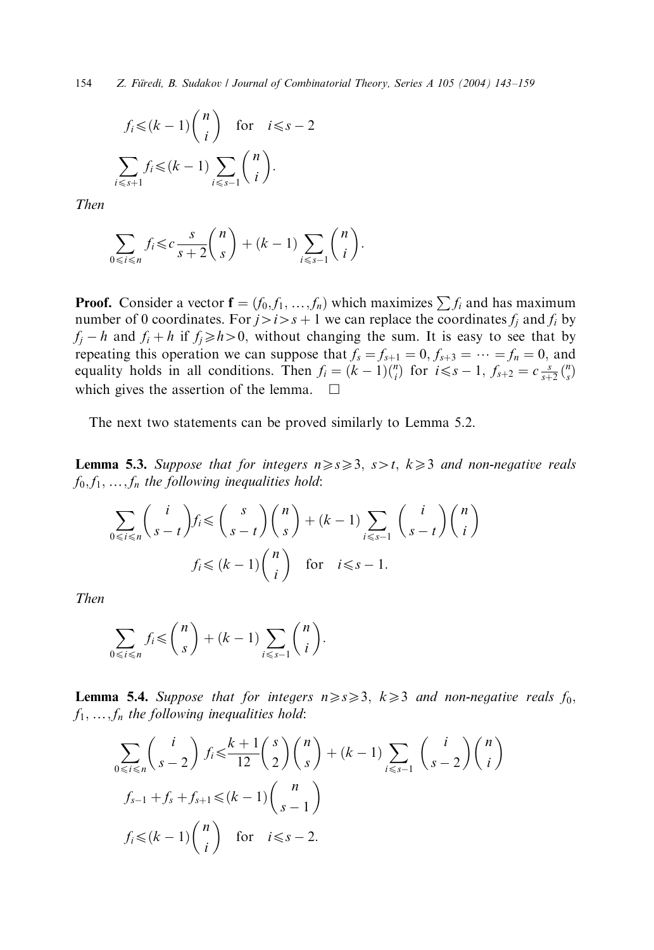154 Z. Füredi, B. Sudakov / Journal of Combinatorial Theory, Series A 105 (2004) 143-159

$$
f_i \leq (k-1) {n \choose i} \quad \text{for} \quad i \leq s-2
$$

$$
\sum_{i \leq s+1} f_i \leq (k-1) \sum_{i \leq s-1} {n \choose i}.
$$

Then

$$
\sum_{0 \le i \le n} f_i \le c \frac{s}{s+2} {n \choose s} + (k-1) \sum_{i \le s-1} {n \choose i}.
$$

**Proof.** Consider a vector  $f = (f_0, f_1, ..., f_n)$  which maximizes  $\sum f_i$  and has maximum number of 0 coordinates. For  $j>i>s+1$  we can replace the coordinates  $f_j$  and  $f_i$  by  $f_i - h$  and  $f_i + h$  if  $f_i \ge h > 0$ , without changing the sum. It is easy to see that by repeating this operation we can suppose that  $f_s = f_{s+1} = 0, f_{s+3} = \cdots = f_n = 0$ , and equality holds in all conditions. Then  $f_i = (k-1) {n \choose i}$  for  $i \leq s-1$ ,  $f_{s+2} = c \frac{s}{s+2} {n \choose s}$ which gives the assertion of the lemma.

The next two statements can be proved similarly to Lemma 5.2.

**Lemma 5.3.** Suppose that for integers  $n \geq s \geq 3$ ,  $s > t$ ,  $k \geq 3$  and non-negative reals  $f_0, f_1, \ldots, f_n$  the following inequalities hold:

$$
\sum_{0 \le i \le n} {i \choose s-t} f_i \le {s \choose s-t} {n \choose s} + (k-1) \sum_{i \le s-1} {i \choose s-t} {n \choose i}
$$
  

$$
f_i \le (k-1) {n \choose i} \text{ for } i \le s-1.
$$

Then

$$
\sum_{0 \le i \le n} f_i \le \binom{n}{s} + (k-1) \sum_{i \le s-1} \binom{n}{i}.
$$

**Lemma 5.4.** Suppose that for integers  $n \geq s \geq 3$ ,  $k \geq 3$  and non-negative reals  $f_0$ ,  $f_1, \ldots, f_n$  the following inequalities hold:

$$
\sum_{0 \le i \le n} {i \choose s-2} f_i \le \frac{k+1}{12} {s \choose 2} {n \choose s} + (k-1) \sum_{i \le s-1} {i \choose s-2} {n \choose i}
$$
  

$$
f_{s-1} + f_s + f_{s+1} \le (k-1) {n \choose s-1}
$$
  

$$
f_i \le (k-1) {n \choose i} \text{ for } i \le s-2.
$$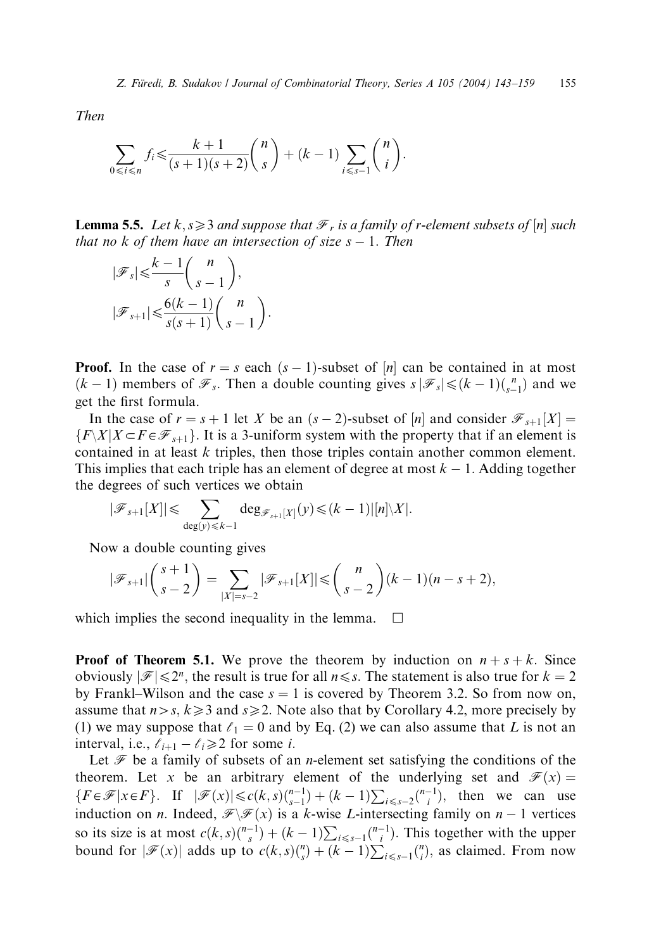Then

$$
\sum_{0 \le i \le n} f_i \le \frac{k+1}{(s+1)(s+2)} {n \choose s} + (k-1) \sum_{i \le s-1} {n \choose i}.
$$

:

**Lemma 5.5.** Let  $k, s \geq 3$  and suppose that  $\mathcal{F}_r$  is a family of r-element subsets of  $[n]$  such that no k of them have an intersection of size  $s - 1$ . Then

$$
|\mathscr{F}_s| \leqslant \frac{k-1}{s} {n \choose s-1},
$$
  

$$
|\mathscr{F}_{s+1}| \leqslant \frac{6(k-1)}{s(s+1)} {n \choose s-1}
$$

**Proof.** In the case of  $r = s$  each  $(s - 1)$ -subset of  $[n]$  can be contained in at most  $(k-1)$  members of  $\mathcal{F}_s$ . Then a double counting gives  $s \, | \mathcal{F}_s | \leq (k-1) {n \choose s-1}$  and we get the first formula.

In the case of  $r = s + 1$  let X be an  $(s - 2)$ -subset of  $[n]$  and consider  $\mathcal{F}_{s+1}[X] =$  $\{F\mid X|X\subset F\in\mathcal{F}_{s+1}\}$ . It is a 3-uniform system with the property that if an element is contained in at least k triples, then those triples contain another common element. This implies that each triple has an element of degree at most  $k - 1$ . Adding together the degrees of such vertices we obtain

$$
|\mathscr{F}_{s+1}[X]| \leq \sum_{\deg(y)\leq k-1} \deg_{\mathscr{F}_{s+1}[X]}(y) \leq (k-1) |[n]\setminus X|.
$$

Now a double counting gives

$$
|\mathscr{F}_{s+1}| \binom{s+1}{s-2} = \sum_{|X|=s-2} |\mathscr{F}_{s+1}[X]| \leq \binom{n}{s-2} (k-1)(n-s+2),
$$

which implies the second inequality in the lemma.  $\Box$ 

**Proof of Theorem 5.1.** We prove the theorem by induction on  $n + s + k$ . Since obviously  $|\mathcal{F}| \leq 2^n$ , the result is true for all  $n \leq s$ . The statement is also true for  $k = 2$ by Frankl–Wilson and the case  $s = 1$  is covered by Theorem 3.2. So from now on, assume that  $n>s$ ,  $k\geqslant3$  and  $s\geqslant2$ . Note also that by Corollary 4.2, more precisely by (1) we may suppose that  $\ell_1 = 0$  and by Eq. (2) we can also assume that L is not an interval, i.e.,  $\ell_{i+1} - \ell_i \geq 2$  for some *i*.

Let  $\mathcal F$  be a family of subsets of an *n*-element set satisfying the conditions of the theorem. Let x be an arbitrary element of the underlying set and  $\mathcal{F}(x) =$  ${F \in \mathcal{F} | x \in F}$ . If  $|\mathcal{F}(x)| \le c(k, s) {n-1 \choose s-1} + (k-1) \sum_{i \le s-2} {n-1 \choose i}$ , then we can use induction on *n*. Indeed,  $\mathcal{F}\backslash\mathcal{F}(x)$  is a *k*-wise *L*-intersecting family on *n* – 1 vertices so its size is at most  $c(k, s) \binom{n-1}{s} + (k-1) \sum_{i \leq s-1} \binom{n-1}{i}$ . This together with the upper bound for  $|\mathscr{F}(x)|$  adds up to  $c(k, s)\binom{n}{s} + (k-1)\sum_{i \leq s-1}\binom{n}{i}$ , as claimed. From now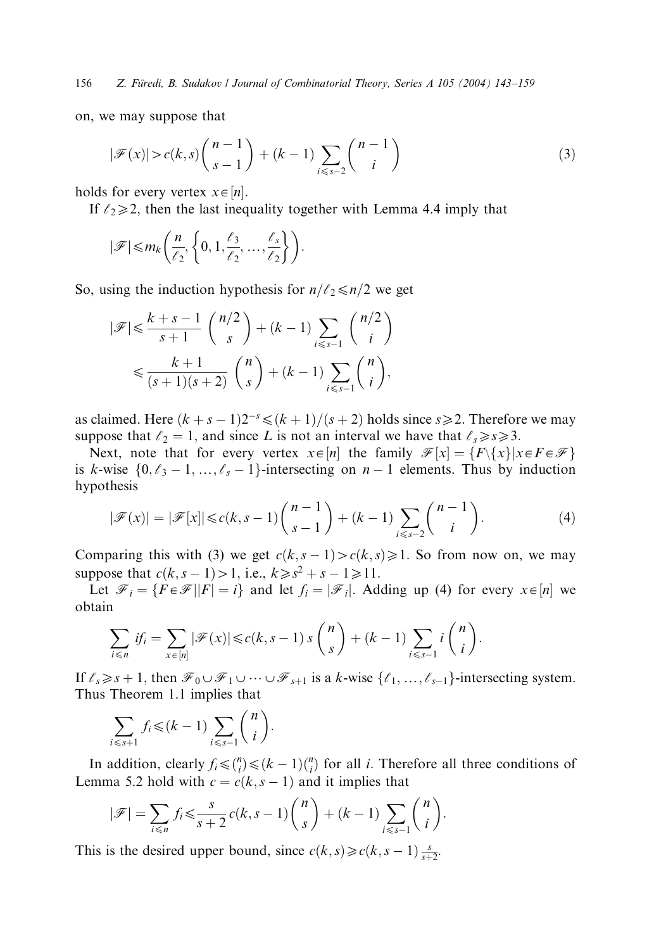156 Z. Füredi, B. Sudakov / Journal of Combinatorial Theory, Series A 105 (2004) 143-159

on, we may suppose that

$$
|\mathcal{F}(x)| > c(k,s) \binom{n-1}{s-1} + (k-1) \sum_{i \le s-2} \binom{n-1}{i}
$$
 (3)

holds for every vertex  $x \in [n]$ .

If  $\ell_2 \geq 2$ , then the last inequality together with Lemma 4.4 imply that

$$
|\mathscr{F}| \leq m_k \left( \frac{n}{\ell_2}, \left\{ 0, 1, \frac{\ell_3}{\ell_2}, \dots, \frac{\ell_s}{\ell_2} \right\} \right).
$$

So, using the induction hypothesis for  $n/\ell_2 \le n/2$  we get

$$
|\mathcal{F}| \leqslant \frac{k+s-1}{s+1} {n/2 \choose s} + (k-1) \sum_{i \leqslant s-1} {n/2 \choose i} \leqslant \frac{k+1}{(s+1)(s+2)} {n \choose s} + (k-1) \sum_{i \leqslant s-1} {n \choose i},
$$

as claimed. Here  $(k + s - 1)2^{-s} \le (k + 1)/(s + 2)$  holds since  $s \ge 2$ . Therefore we may suppose that  $\ell_2 = 1$ , and since L is not an interval we have that  $\ell_s \ge s \ge 3$ .

Next, note that for every vertex  $x \in [n]$  the family  $\mathcal{F}[x] = \{F \setminus \{x\} | x \in F \in \mathcal{F}\}\$ is k-wise  $\{0, \ell_3 - 1, \ldots, \ell_s - 1\}$ -intersecting on  $n - 1$  elements. Thus by induction hypothesis

$$
|\mathcal{F}(x)| = |\mathcal{F}[x]| \le c(k, s-1) \binom{n-1}{s-1} + (k-1) \sum_{i \le s-2} \binom{n-1}{i}.
$$
 (4)

Comparing this with (3) we get  $c(k, s - 1) > c(k, s) \ge 1$ . So from now on, we may suppose that  $c(k, s - 1) > 1$ , i.e.,  $k \geq s^2 + s - 1 \geq 11$ .

Let  $\mathcal{F}_i = \{F \in \mathcal{F} | |F| = i\}$  and let  $f_i = |\mathcal{F}_i|$ . Adding up (4) for every  $x \in [n]$  we obtain

$$
\sum_{i \leq n} \text{ if } i = \sum_{x \in [n]} |\mathscr{F}(x)| \leq c(k, s-1) s \binom{n}{s} + (k-1) \sum_{i \leq s-1} i \binom{n}{i}.
$$

If  $\ell_s \geq s+1$ , then  $\mathcal{F}_0 \cup \mathcal{F}_1 \cup \cdots \cup \mathcal{F}_{s+1}$  is a k-wise  $\{\ell_1,\ldots,\ell_{s-1}\}$ -intersecting system. Thus Theorem 1.1 implies that

$$
\sum_{i \leq s+1} f_i \leq (k-1) \sum_{i \leq s-1} \binom{n}{i}.
$$

In addition, clearly  $f_i \leq \binom{n}{i} \leq (k-1)\binom{n}{i}$  for all *i*. Therefore all three conditions of Lemma 5.2 hold with  $c = c(k, s - 1)$  and it implies that

$$
|\mathscr{F}| = \sum_{i \le n} f_i \le \frac{s}{s+2} c(k, s-1) \binom{n}{s} + (k-1) \sum_{i \le s-1} \binom{n}{i}.
$$

This is the desired upper bound, since  $c(k, s) \geq c(k, s - 1) \frac{s}{s+2}$ .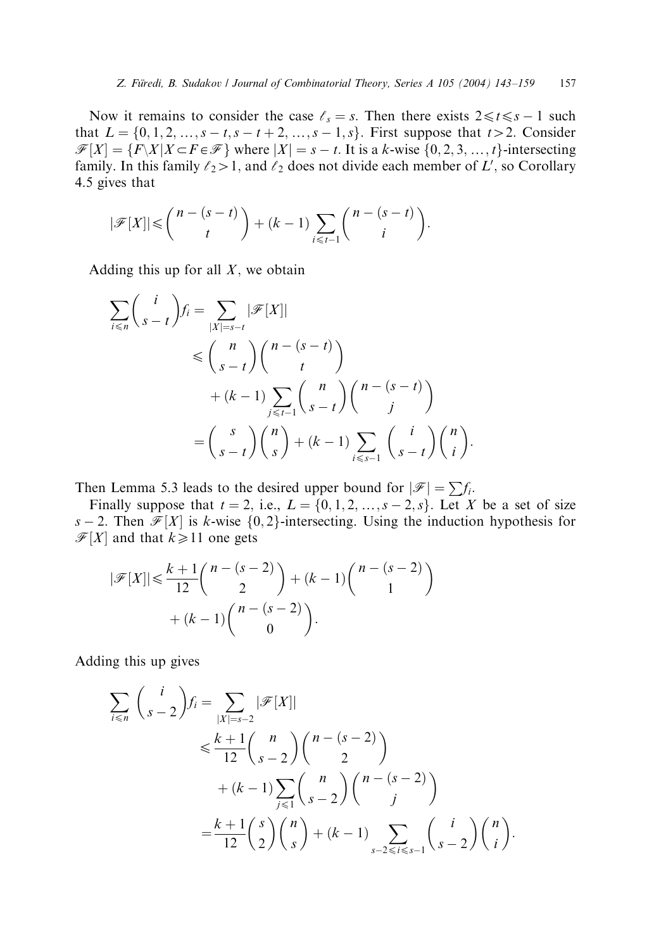Now it remains to consider the case  $\ell_s = s$ . Then there exists  $2 \le t \le s - 1$  such that  $L = \{0, 1, 2, ..., s - t, s - t + 2, ..., s - 1, s\}$ . First suppose that  $t > 2$ . Consider  $\mathcal{F}[X] = \{F\backslash X | X \subset F \in \mathcal{F}\}\$  where  $|X| = s - t$ . It is a k-wise  $\{0, 2, 3, ..., t\}$ -intersecting family. In this family  $\ell_2 > 1$ , and  $\ell_2$  does not divide each member of L', so Corollary 4.5 gives that

$$
|\mathscr{F}[X]| \leq {n-(s-t) \choose t}+(k-1)\sum_{i\leq t-1}{n-(s-t) \choose i}.
$$

Adding this up for all  $X$ , we obtain

$$
\sum_{i \le n} {i \choose s-t} f_i = \sum_{|X|=s-t} |\mathcal{F}[X]|
$$
\n
$$
\le {n \choose s-t} {n-(s-t) \choose t}
$$
\n
$$
+ (k-1) \sum_{j \le t-1} {n \choose s-t} {n-(s-t) \choose j}
$$
\n
$$
= {s \choose s-t} {n \choose s} + (k-1) \sum_{i \le s-1} {i \choose s-t} {n \choose i}.
$$

Then Lemma 5.3 leads to the desired upper bound for  $|\mathscr{F}| = \sum f_i$ .

Finally suppose that  $t = 2$ , i.e.,  $L = \{0, 1, 2, \ldots, s - 2, s\}$ . Let X be a set of size s – 2. Then  $\mathcal{F}[X]$  is k-wise  $\{0, 2\}$ -intersecting. Using the induction hypothesis for  $\mathcal{F}[X]$  and that  $k \ge 11$  one gets

$$
|\mathcal{F}[X]| \le \frac{k+1}{12} {n - (s-2) \choose 2} + (k-1) {n - (s-2) \choose 1} + (k-1) {n - (s-2) \choose 0}.
$$

Adding this up gives

$$
\sum_{i \le n} {i \choose s-2} f_i = \sum_{|X|=s-2} |\mathcal{F}[X]|
$$
  
\n
$$
\le \frac{k+1}{12} {n \choose s-2} {n - (s-2) \choose 2} + (k-1) \sum_{j \le 1} {n \choose s-2} {n - (s-2) \choose j}
$$
  
\n
$$
= \frac{k+1}{12} {s \choose 2} {n \choose s} + (k-1) \sum_{s-2 \le i \le s-1} {i \choose s-2} {n \choose i}.
$$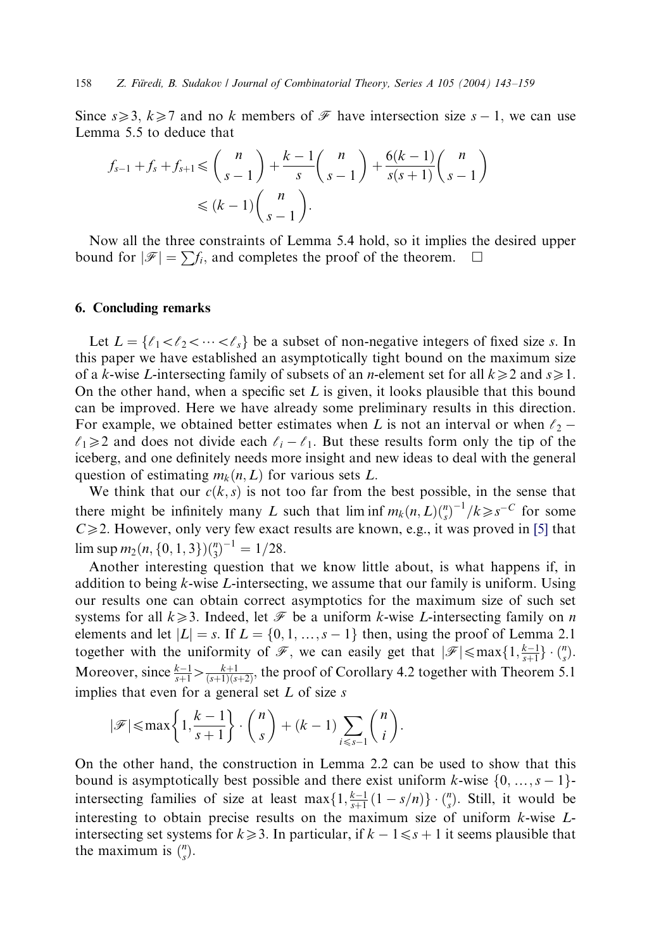Since  $s \geq 3$ ,  $k \geq 7$  and no k members of  $\mathcal F$  have intersection size  $s - 1$ , we can use Lemma 5.5 to deduce that

$$
f_{s-1} + f_s + f_{s+1} \leq \binom{n}{s-1} + \frac{k-1}{s} \binom{n}{s-1} + \frac{6(k-1)}{s(s+1)} \binom{n}{s-1}
$$

$$
\leq (k-1) \binom{n}{s-1}.
$$

Now all the three constraints of Lemma 5.4 hold, so it implies the desired upper bound for  $|\mathscr{F}| = \sum f_i$ , and completes the proof of the theorem.

## 6. Concluding remarks

Let  $L = \{ \ell_1 < \ell_2 < \cdots < \ell_s \}$  be a subset of non-negative integers of fixed size s. In this paper we have established an asymptotically tight bound on the maximum size of a k-wise L-intersecting family of subsets of an *n*-element set for all  $k \geq 2$  and  $s \geq 1$ . On the other hand, when a specific set  $L$  is given, it looks plausible that this bound can be improved. Here we have already some preliminary results in this direction. For example, we obtained better estimates when L is not an interval or when  $\ell_2$  $\ell_1 \geq 2$  and does not divide each  $\ell_i - \ell_1$ . But these results form only the tip of the iceberg, and one definitely needs more insight and new ideas to deal with the general question of estimating  $m_k(n, L)$  for various sets L.

We think that our  $c(k, s)$  is not too far from the best possible, in the sense that there might be infinitely many L such that  $\liminf m_k(n,L) {n \choose s}^{-1} / k \ge s^{-C}$  for some  $C \ge 2$ . However, only very few exact results are known, e.g., it was proved in [\[5\]](#page-16-0) that  $\limsup m_2(n, \{0, 1, 3\}) {n \choose 3}^{-1} = 1/28.$ 

Another interesting question that we know little about, is what happens if, in addition to being  $k$ -wise L-intersecting, we assume that our family is uniform. Using our results one can obtain correct asymptotics for the maximum size of such set systems for all  $k\geq 3$ . Indeed, let  $\mathcal F$  be a uniform k-wise L-intersecting family on n elements and let  $|L| = s$ . If  $L = \{0, 1, ..., s - 1\}$  then, using the proof of Lemma 2.1 together with the uniformity of  $\mathscr{F}$ , we can easily get that  $|\mathscr{F}| \leq \max\{1, \frac{k-1}{s+1}\} \cdot {n \choose s}$ . Moreover, since  $\frac{k-1}{s+1} > \frac{k+1}{(s+1)(s+2)}$ , the proof of Corollary 4.2 together with Theorem 5.1 implies that even for a general set  $L$  of size  $s$ 

$$
|\mathscr{F}| \le \max\left\{1, \frac{k-1}{s+1}\right\} \cdot \binom{n}{s} + (k-1) \sum_{i \le s-1} \binom{n}{i}.
$$

On the other hand, the construction in Lemma 2.2 can be used to show that this bound is asymptotically best possible and there exist uniform k-wise  $\{0, ..., s - 1\}$ intersecting families of size at least  $\max\{1, \frac{k-1}{s+1}(1-s/n)\} \cdot {n \choose s}$ . Still, it would be interesting to obtain precise results on the maximum size of uniform k-wise Lintersecting set systems for  $k \geq 3$ . In particular, if  $k - 1 \leq s + 1$  it seems plausible that the maximum is  $\binom{n}{s}$ .